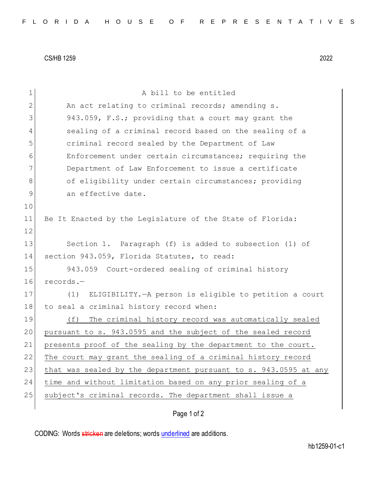CS/HB 1259 2022

| $\mathbf 1$ | A bill to be entitled                                            |  |  |  |  |  |  |  |  |  |  |  |
|-------------|------------------------------------------------------------------|--|--|--|--|--|--|--|--|--|--|--|
| 2           | An act relating to criminal records; amending s.                 |  |  |  |  |  |  |  |  |  |  |  |
| 3           | 943.059, F.S.; providing that a court may grant the              |  |  |  |  |  |  |  |  |  |  |  |
| 4           | sealing of a criminal record based on the sealing of a           |  |  |  |  |  |  |  |  |  |  |  |
| 5           | criminal record sealed by the Department of Law                  |  |  |  |  |  |  |  |  |  |  |  |
| 6           | Enforcement under certain circumstances; requiring the           |  |  |  |  |  |  |  |  |  |  |  |
| 7           | Department of Law Enforcement to issue a certificate             |  |  |  |  |  |  |  |  |  |  |  |
| 8           | of eligibility under certain circumstances; providing            |  |  |  |  |  |  |  |  |  |  |  |
| $\mathsf 9$ | an effective date.                                               |  |  |  |  |  |  |  |  |  |  |  |
| 10          |                                                                  |  |  |  |  |  |  |  |  |  |  |  |
| 11          | Be It Enacted by the Legislature of the State of Florida:        |  |  |  |  |  |  |  |  |  |  |  |
| 12          |                                                                  |  |  |  |  |  |  |  |  |  |  |  |
| 13          | Section 1. Paragraph (f) is added to subsection (1) of           |  |  |  |  |  |  |  |  |  |  |  |
| 14          | section 943.059, Florida Statutes, to read:                      |  |  |  |  |  |  |  |  |  |  |  |
| 15          | 943.059 Court-ordered sealing of criminal history                |  |  |  |  |  |  |  |  |  |  |  |
| 16          | records.-                                                        |  |  |  |  |  |  |  |  |  |  |  |
| 17          | ELIGIBILITY. - A person is eligible to petition a court<br>(1)   |  |  |  |  |  |  |  |  |  |  |  |
| 18          | to seal a criminal history record when:                          |  |  |  |  |  |  |  |  |  |  |  |
| 19          | The criminal history record was automatically sealed<br>(f)      |  |  |  |  |  |  |  |  |  |  |  |
| 20          | pursuant to s. 943.0595 and the subject of the sealed record     |  |  |  |  |  |  |  |  |  |  |  |
| 21          | presents proof of the sealing by the department to the court.    |  |  |  |  |  |  |  |  |  |  |  |
| 22          | The court may grant the sealing of a criminal history record     |  |  |  |  |  |  |  |  |  |  |  |
| 23          | that was sealed by the department pursuant to s. 943.0595 at any |  |  |  |  |  |  |  |  |  |  |  |
| 24          | time and without limitation based on any prior sealing of a      |  |  |  |  |  |  |  |  |  |  |  |
| 25          | subject's criminal records. The department shall issue a         |  |  |  |  |  |  |  |  |  |  |  |
|             | Page 1 of 2                                                      |  |  |  |  |  |  |  |  |  |  |  |

CODING: Words stricken are deletions; words underlined are additions.